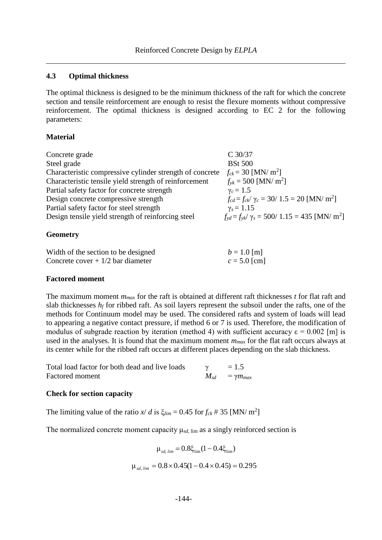# **Example 5: Comparison between flat and ribbed rafts**

# **1 Description of the problem**

A ribbed raft may be used where the distance between columns is so great that a flat raft requires excessive depth, with resulting high bending moments. Consequently, the volume of concrete is reduced. A ribbed raft consists of a stiffened slab by girders in *x-* and *y-*directions. The girders on the raft may be either down or up the slab. Ribbed rafts can be used for many structures when a flat level for the first floor is not required. Such structures are silos, elevated tanks and various other possible structures. Although this type of foundation has many disadvantages if used in normally buildings, still is used by many designers. Such disadvantages are: the raft needs deep foundation level under the ground surface, fill material on the raft to make a flat level. In addition, a slab on the fill material is required to be constructed for the first floor. The use of the ribbed raft relates to its simplicity in analysis by traditional manners or hand calculations, particularly, if the columns are arranged in lines. The ribbed raft generally leads to less concrete quantity than the flat raft, especially if the columns have heavy loads and large spans.

In this example two types of rafts, flat and ribbed rafts, are considered as shown in [Figure 49](#page-1-0) The length of each raft is  $L = 14.3$  [m] while the width is  $B = 28.3$  [m]. Each raft carries 15 column loads and a brick wall load of  $p = 30$  [kN/ m] at its edges. Width of ribs is chosen to be  $b_w = 0.30$  [m] equal to the minimum side of columns, while the height of ribs including the slab thickness is chosen to be  $h_w + h_f = 1.0$  [m]. Column dimensions, reinforcement and loads are shown in [Table 52.](#page-0-0) A thin plain concrete of thickness 0.20 [m] is chosen under the raft and is not considered in any calculation.

| Column               | Load $[kN]$ | Dimensions $[m \times m]$ | Reinforcement             |
|----------------------|-------------|---------------------------|---------------------------|
| Model C1             | 781         | $0.30 \times 0.30$        | $6\Phi 16$                |
| Model C <sub>2</sub> | 1562        | $0.30 \times 0.70$        | $4\Phi$ 16 + 4 $\Phi$ 19  |
| Model C <sub>3</sub> | 3124        | $0.30 \times 1.40$        | $6\,\Phi\,22+6\,\Phi\,19$ |

<span id="page-0-0"></span>Table 52 Column models, loads, dimensions and reinforcement

Two analyses are carried out to compare between the two structural systems of rafts. In the analyses, the Continuum model is used to represent the subsoil. The two cases of analyses are considered as follows:

- Flat raft for optimal raft thickness
- Ribbed raft for optimal slab thickness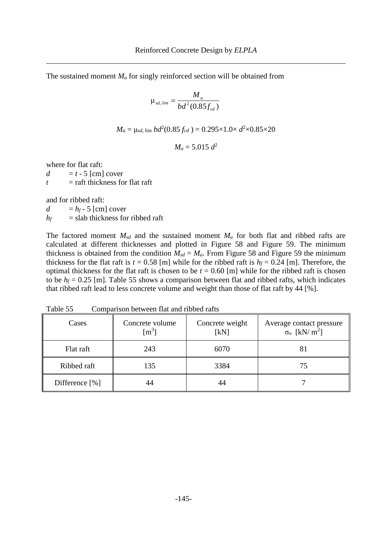

<span id="page-1-0"></span>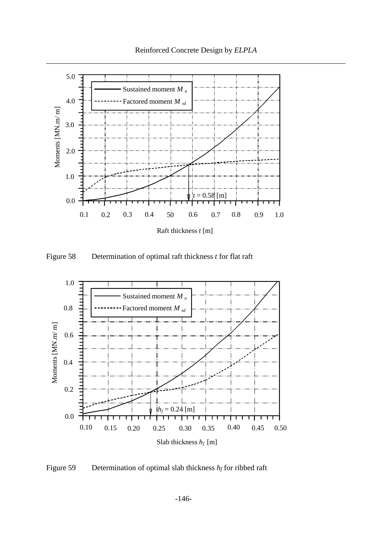# **2 Properties of the raft material**

The material of rafts is reinforcement concrete that has the following parameters:

| <i>Young's</i> modulus of concrete | Eь                                                                | $= 3.2 \times 10^7$ [kN/ m <sup>2</sup> ] |                      |
|------------------------------------|-------------------------------------------------------------------|-------------------------------------------|----------------------|
| <i>Poisson's</i> ratio of concrete | Vh                                                                | $= 0.20$                                  | $1 - 1$              |
| Shear modulus of concrete          | $G_b = 0.5 E_b (1 + v_b) = 1.3 \times 10^7$ [kN/ m <sup>2</sup> ] |                                           |                      |
| Unit weight of concrete            | $\gamma_h$                                                        | $= 25$                                    | [kN/m <sup>3</sup> ] |

## **3 Soil properties**

The rafts rest on three soil layers consisting of silty sand, silt and clay, respectively. A rigid base of sandstone is found under the clay layer. [Figure 50](#page-3-0) shows soil layers under rafts while [Table](#page-2-0)  [53](#page-2-0) shows the soil parameters. *Poisson's* ratio is constant for all soil layers. The effect of reloading of the soil and limit depth of the soil layers are taken into account. The general soil parameters are:

| <i>Poisson's</i> ratio                             | Ve    | $= 0.30$ [-] |
|----------------------------------------------------|-------|--------------|
| Level of foundation depth under the ground surface | $d_f$ | $= 2.50$ [m] |
| Level of water table under the ground surface      | GW    | $= 2.20$ [m] |

| Layer<br>No.   | Type of<br>soil | Depth of<br>layer under<br>the ground |                                        | Modulus of compressibility<br>of the soil for | Unit weight<br>above<br>ground water | Unit weight<br>under                                            |
|----------------|-----------------|---------------------------------------|----------------------------------------|-----------------------------------------------|--------------------------------------|-----------------------------------------------------------------|
|                |                 | surface<br>$z$ [m]                    | Loading<br>$E_s$ [kN/ m <sup>2</sup> ] | Reloading<br>$W_s$ [kN/ m <sup>2</sup> ]      | $\gamma_s$ [kN/ m <sup>3</sup> ]     | ground<br>water<br>$\gamma'$ <sub>s</sub> [kN/ m <sup>3</sup> ] |
|                | Silty sand      | 4.00                                  | 60 000                                 | 150 000                                       | 19                                   | 11                                                              |
| $\overline{2}$ | Silt            | 6.00                                  | 10 000                                 | 20 000                                        |                                      | 8                                                               |
| 3              | Clay            | 20.0                                  | 5 0 0 0                                | 10 000                                        |                                      | 9                                                               |

<span id="page-2-0"></span>

| Table 53 |  | Soil properties |
|----------|--|-----------------|
|----------|--|-----------------|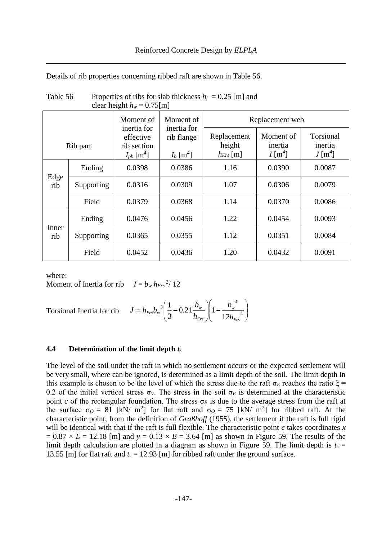

<span id="page-3-0"></span>Figure 50 Soil layers and soil parameters under rafts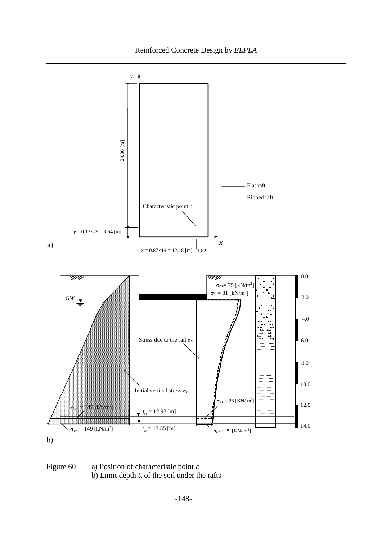# **4 Analysis of the raft**

## **4.1 Modeling of ribs**

For modeling of ribs, different possibilities can be applied as follows:

- i) The raft is analyzed first separately by considering the ribs as non-displaceable or elastic line supports. Then, the obtained support reactions apply to equivalent girders. This mathematical model supposes that the rib has more significant stiffness than that of the raft. In this case, a linear contact pressure under the raft may be assumed in the analysis (Conventional method 1), where the interaction between the raft and the subsoil is not taken into account
- ii) Using a combination of two types of finite elements representing the system of a ribbed raft. The raft is represented by plate bending elements according to the two-dimensional nature of the raft. Beam elements are used to represent the rib action along the raft
- iii) Using a thicker line of plate elements representing the rib action along the raft. Then, for design of the rib, the required internal forces are determined from the plate element results. This model is reasonable for a wide rib
- iv) Using a three-dimensional shell model of block elements with six degrees of freedom at each node to represent the rib and raft together. This model gives an exact representation of the rib behavior but it is complicated

In this example the analysis of the ribbed raft is carried out using a combination of plate and beam elements. [Figure 51](#page-5-0) shows FE-Nets of flat and ribbed rafts. Each raft is subdivided into 312 plate elements. For the ribbed raft, the ribs are considered through inserting additional 138 beam elements along the location of the ribs on the FE-Net.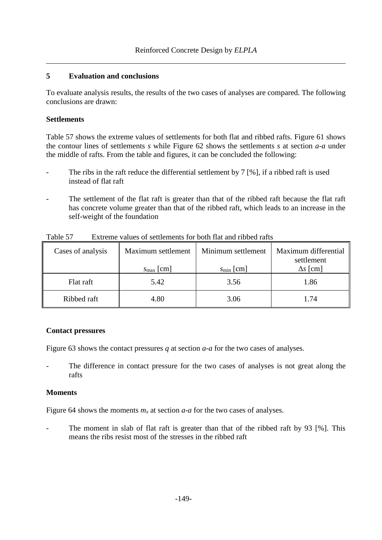

<span id="page-5-0"></span>Figure 51 a) Flat raft with loads, dimensions and FE-Net b) Ribbed raft, arrangement of beam elements, dimensions and FE-Net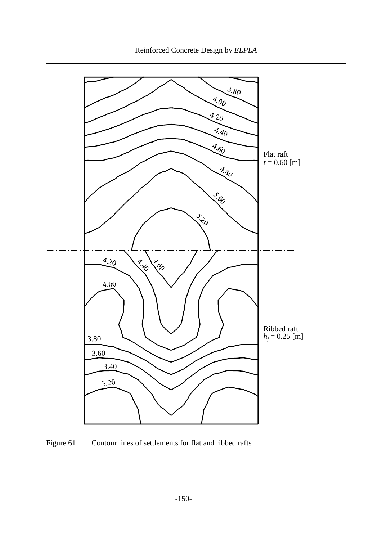## **4.2 Determination of replacement rib height** *hErs*

To simulate the rib stiffness on the FE-Net by using additional beam elements, the actual properties of the beam elements must be determined. The stiffness of the rib can be obtained through a replacement beam arranged in the center plane of the plate. The dimensions of the replacement beam can be taken as in DIN 1075 or EC 2. This can be carried out by determining firstly the moment of inertia for the effective section of the rib *Ipb* that contains two parts, flange and web [\(Figure 52\)](#page-7-0). The rib section may be L-section or inverted T-section. Then, the replacement height of the web *hErs* can be determined by equating the section of inertia *Ipb* to two equivalent moments of inertia. The first moment of inertia *I<sup>p</sup>* corresponds a rectangular flange of dimensions  $b_{\text{eff}}$  and  $h_f$  while the second moment of inertia *I* corresponds a rectangular web of dimensions  $b_w$  and  $h_{Ers}$ . The replacement height of the web  $h_{Ers}$  must be higher than the sum of slab thickness  $h_f$  and clear height of the rib  $h_w$ . In the finite element model of the ribbed raft, the rib is represented by beam element that has the property of  $b_w$  and  $h_{Ers}$  while the flange is already included in the plate finite element.

According to EC 2 the rib is defined by different stiffness distribution along its length, depending on the points of zero moment at the rib, where the effective flange width of the rib depends on the position of this point. This stiffness can be determined approximately independent of the load geometry at different spans. Guidelines for calculating effective spans *l*<sup>o</sup> and flange widths *beff* are given in [Figure 52](#page-7-0) and [Figure 53,](#page-7-1) while [Table 54](#page-6-0) shows effective spans and flange widths of ribs at different rib parts for the raft.

| Rib part        | Effective rib span       | Effective flange width<br>$b_{\text{eff}}$ [m] |                                             |  |
|-----------------|--------------------------|------------------------------------------------|---------------------------------------------|--|
|                 | $l_0$ [m]                | Edge rib<br>$b_{\text{eff}} = b_w + l_o/10$    | Inner rib<br>$b_{\text{eff}} = b_w + l_o/5$ |  |
| Ending part     | $0.85 l_1 = 5.95$        | 0.895                                          | 1.49                                        |  |
| Supporting part | $0.15 (l_1 + l_2) = 2.1$ | 0.51                                           | 0.72                                        |  |
| Field part      | $0.7 l_2 = 4.9$          | 0.79                                           | 1.28                                        |  |

<span id="page-6-0"></span>Table 54 Effective span and flange width of the rib

| where in Table 54:    |              |
|-----------------------|--------------|
| $l_1 = l_2 = 7.0$ [m] | Rib span     |
| $b_w = 0.30$ [m]      | Width of rib |

[Figure 54](#page-8-0) and [Figure 55](#page-8-1) show the moment of inertia ratios  $r = I_{pb}/I$  at different clear heights  $h_w$ . From these figures, it can be concluded that the small clear height *h<sup>w</sup>* has a great influence on the ratio *r*. The replacement heights  $h_{Ers}$  for different clear heights  $h_w$  are plotted as curves in Figure [56](#page-9-0) and [Figure 57.](#page-9-1) These curves indicate that the maximum replacement height occurs when the clear height  $h_w$  is about 0.75 − 0.80 [m]. At this clear height, the dimensions of the rib are considered optimal.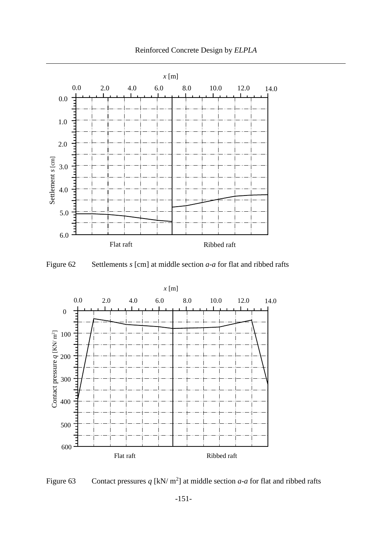

<span id="page-7-0"></span>Figure 52 Determination of replacement height *hErs*



<span id="page-7-1"></span>Figure 53 Definition of effective span *l*<sup>o</sup>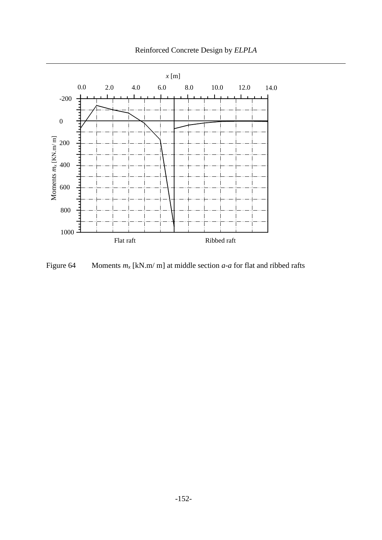

<span id="page-8-0"></span>Figure 54 Moment of inertia ratio  $r = I_{pb}/I$  for edge ribs



<span id="page-8-1"></span>Figure 55 Moment of inertia ratio  $r = I_{pb}/I$  for inner ribs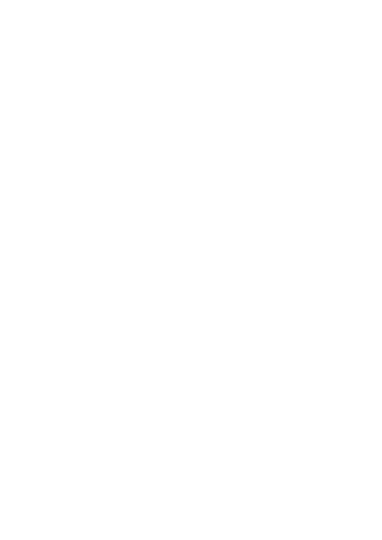

<span id="page-9-0"></span>Figure 56 Replacement height *hErs* for edge ribs



<span id="page-9-1"></span>Figure 57 Replacement height *hErs* for inner ribs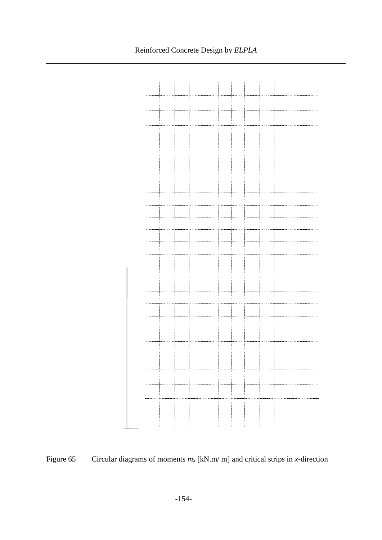#### **4.3 Optimal thickness**

The optimal thickness is designed to be the minimum thickness of the raft for which the concrete section and tensile reinforcement are enough to resist the flexure moments without compressive reinforcement. The optimal thickness is designed according to EC 2 for the following parameters:

#### **Material**

| Concrete grade                                           | $C$ 30/37                                                             |
|----------------------------------------------------------|-----------------------------------------------------------------------|
| Steel grade                                              | <b>BSt 500</b>                                                        |
| Characteristic compressive cylinder strength of concrete | $f_{ck} = 30$ [MN/ m <sup>2</sup> ]                                   |
| Characteristic tensile yield strength of reinforcement   | $f_{vk} = 500$ [MN/ m <sup>2</sup> ]                                  |
| Partial safety factor for concrete strength              | $\gamma_c = 1.5$                                                      |
| Design concrete compressive strength                     | $f_{cd} = f_{ck} / \gamma_c = 30 / 1.5 = 20$ [MN/ m <sup>2</sup> ]    |
| Partial safety factor for steel strength                 | $\gamma_s = 1.15$                                                     |
| Design tensile yield strength of reinforcing steel       | $f_{yd} = f_{yk} / \gamma_s = 500 / 1.15 = 435$ [MN/ m <sup>2</sup> ] |
|                                                          |                                                                       |

#### **Geometry**

| Width of the section to be designed | $b = 1.0$ [m]  |
|-------------------------------------|----------------|
| Concrete cover $+1/2$ bar diameter  | $c = 5.0$ [cm] |

#### **Factored moment**

The maximum moment *mmax* for the raft is obtained at different raft thicknesses *t* for flat raft and slab thicknesses  $h_f$  for ribbed raft. As soil layers represent the subsoil under the rafts, one of the methods for Continuum model may be used. The considered rafts and system of loads will lead to appearing a negative contact pressure, if method 6 or 7 is used. Therefore, the modification of modulus of subgrade reaction by iteration (method 4) with sufficient accuracy  $\epsilon = 0.002$  [m] is used in the analyses. It is found that the maximum moment *mmax* for the flat raft occurs always at its center while for the ribbed raft occurs at different places depending on the slab thickness.

| Total load factor for both dead and live loads |          | $= 1.5$            |
|------------------------------------------------|----------|--------------------|
| Factored moment                                | $M_{sd}$ | $= \gamma m_{max}$ |

#### **Check for section capacity**

The limiting value of the ratio *x*/ *d* is  $\xi_{lim} = 0.45$  for  $f_{ck} \neq 35$  [MN/ m<sup>2</sup>]

The normalized concrete moment capacity μ*sd,* lim as a singly reinforced section is

$$
\mu_{sd, \, lim} = 0.8 \xi_{\text{lim}} (1 - 0.4 \xi_{\text{lim}})
$$

$$
\mu_{sd, \, lim} = 0.8 \times 0.45 (1 - 0.4 \times 0.45) = 0.295
$$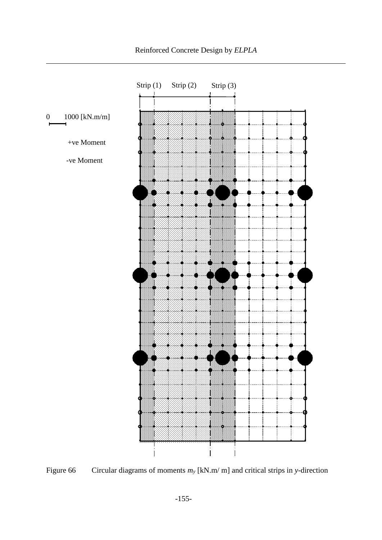The sustained moment *M<sup>a</sup>* for singly reinforced section will be obtained from

$$
\mu_{sd, lim} = \frac{M_a}{bd^2(0.85f_{cd})}
$$
  

$$
M_a = \mu_{sd, lim} bd^2(0.85f_{cd}) = 0.295 \times 1.0 \times d^2 \times 0.85 \times 20
$$
  

$$
M_a = 5.015 d^2
$$

where for flat raft:

 $d = t - 5$  [cm] cover  $t = \text{raft thickness}$  for flat raft

and for ribbed raft:

 $d = h_f - 5$  [cm] cover  $h_f$  = slab thickness for ribbed raft

The factored moment  $M_{sd}$  and the sustained moment  $M_a$  for both flat and ribbed rafts are calculated at different thicknesses and plotted in [Figure 58](#page-12-0) and [Figure 59.](#page-12-1) The minimum thickness is obtained from the condition  $M_{sd} = M_a$ . From [Figure 58](#page-12-0) and [Figure 59](#page-12-1) the minimum thickness for the flat raft is  $t = 0.58$  [m] while for the ribbed raft is  $h_f = 0.24$  [m]. Therefore, the optimal thickness for the flat raft is chosen to be  $t = 0.60$  [m] while for the ribbed raft is chosen to be  $h_f = 0.25$  [m]. [Table 55](#page-11-0) shows a comparison between flat and ribbed rafts, which indicates that ribbed raft lead to less concrete volume and weight than those of flat raft by 44 [%].

| Cases          | Concrete volume<br>$\lceil m^3 \rceil$ | Concrete weight<br>[kN] | Average contact pressure<br>$\sigma_0$ [kN/ m <sup>2</sup> ] |
|----------------|----------------------------------------|-------------------------|--------------------------------------------------------------|
| Flat raft      | 243                                    | 6070                    |                                                              |
| Ribbed raft    | 135                                    |                         |                                                              |
| Difference [%] | 44                                     | 44                      |                                                              |

<span id="page-11-0"></span>Table 55 Comparison between flat and ribbed rafts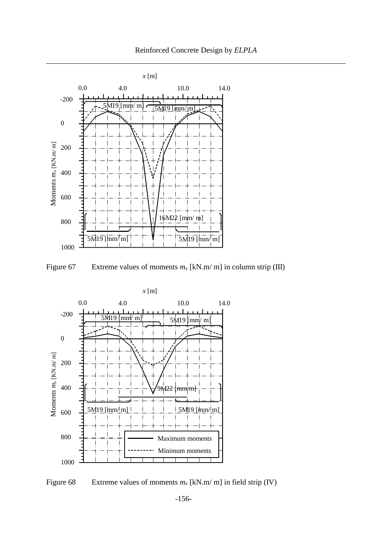Reinforced Concrete Design by *ELPLA*



<span id="page-12-0"></span>Figure 58 Determination of optimal raft thickness *t* for flat raft



<span id="page-12-1"></span>Figure 59 Determination of optimal slab thickness *h<sup>f</sup>* for ribbed raft